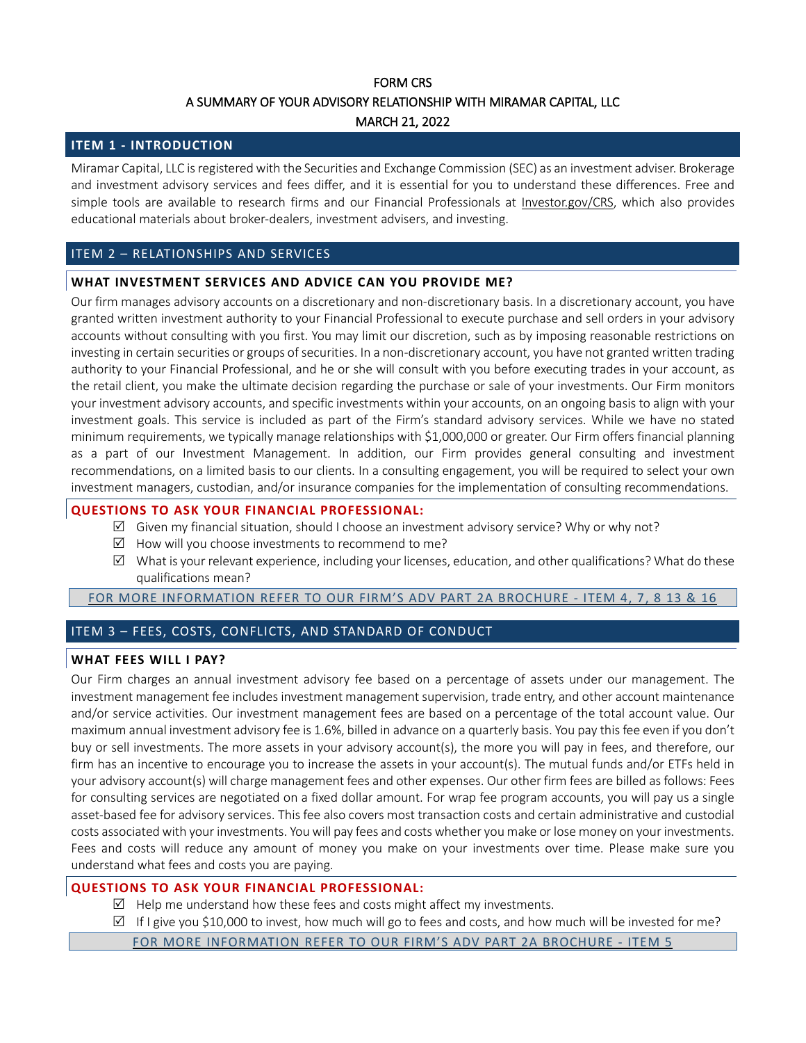# FORM CRS A SUMMARY OF YOUR ADVISORY RELATIONSHIP WITH MIRAMAR CAPITAL, LLC MARCH 21, 2022

## **ITEM 1 - INTRODUCTION**

Miramar Capital, LLC isregistered with the Securities and Exchange Commission (SEC) as an investment adviser. Brokerage and investment advisory services and fees differ, and it is essential for you to understand these differences. Free and simple tools are available to research firms and our Financial Professionals at [Investor.gov/CRS,](https://www.investor.gov/CRS) which also provides educational materials about broker-dealers, investment advisers, and investing.

## ITEM 2 – RELATIONSHIPS AND SERVICES

# **WHAT INVESTMENT SERVICES AND ADVICE CAN YOU PROVIDE ME?**

Our firm manages advisory accounts on a discretionary and non-discretionary basis. In a discretionary account, you have granted written investment authority to your Financial Professional to execute purchase and sell orders in your advisory accounts without consulting with you first. You may limit our discretion, such as by imposing reasonable restrictions on investing in certain securities or groups of securities. In a non-discretionary account, you have not granted written trading authority to your Financial Professional, and he or she will consult with you before executing trades in your account, as the retail client, you make the ultimate decision regarding the purchase or sale of your investments. Our Firm monitors your investment advisory accounts, and specific investments within your accounts, on an ongoing basis to align with your investment goals. This service is included as part of the Firm's standard advisory services. While we have no stated minimum requirements, we typically manage relationships with \$1,000,000 or greater. Our Firm offers financial planning as a part of our Investment Management. In addition, our Firm provides general consulting and investment recommendations, on a limited basis to our clients. In a consulting engagement, you will be required to select your own investment managers, custodian, and/or insurance companies for the implementation of consulting recommendations.

## **QUESTIONS TO ASK YOUR FINANCIAL PROFESSIONAL:**

- $\boxtimes$  Given my financial situation, should I choose an investment advisory service? Why or why not?
- $\boxtimes$  How will you choose investments to recommend to me?
- $\boxtimes$  What is your relevant experience, including your licenses, education, and other qualifications? What do these qualifications mean?

FOR MORE [INFORMATION](https://files.adviserinfo.sec.gov/IAPD/Content/Common/crd_iapd_Brochure.aspx?BRCHR_VRSN_ID=678682) REFER TO OUR FIRM'S ADV PART 2A BROCHURE - ITEM 4, 7, 8 13 & 16

# ITEM 3 – FEES, COSTS, CONFLICTS, AND STANDARD OF CONDUCT

## **WHAT FEES WILL I PAY?**

Our Firm charges an annual investment advisory fee based on a percentage of assets under our management. The investment management fee includes investment management supervision, trade entry, and other account maintenance and/or service activities. Our investment management fees are based on a percentage of the total account value. Our maximum annual investment advisory fee is 1.6%, billed in advance on a quarterly basis. You pay thisfee even if you don't buy or sell investments. The more assets in your advisory account(s), the more you will pay in fees, and therefore, our firm has an incentive to encourage you to increase the assets in your account(s). The mutual funds and/or ETFs held in your advisory account(s) will charge management fees and other expenses. Our other firm fees are billed as follows: Fees for consulting services are negotiated on a fixed dollar amount. For wrap fee program accounts, you will pay us a single asset-based fee for advisory services. This fee also covers most transaction costs and certain administrative and custodial costs associated with your investments. You will pay fees and costs whether you make or lose money on your investments. Fees and costs will reduce any amount of money you make on your investments over time. Please make sure you understand what fees and costs you are paying.

# **QUESTIONS TO ASK YOUR FINANCIAL PROFESSIONAL:**

- $\boxtimes$  Help me understand how these fees and costs might affect my investments.
- $\boxtimes$  If I give you \$10,000 to invest, how much will go to fees and costs, and how much will be invested for me?
	- FOR MORE [INFORMATION](https://files.adviserinfo.sec.gov/IAPD/Content/Common/crd_iapd_Brochure.aspx?BRCHR_VRSN_ID=678682) REFER TO OUR FIRM'S ADV PART 2A BROCHURE ITEM 5